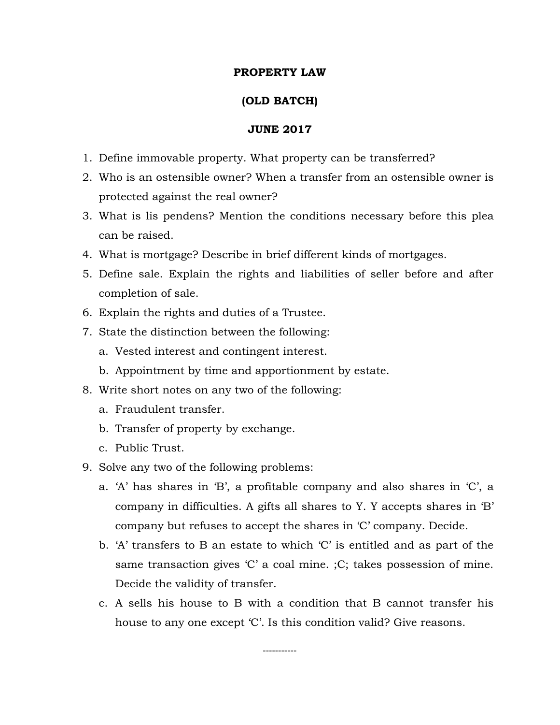## **PROPERTY LAW**

# **(OLD BATCH)**

### **JUNE 2017**

- 1. Define immovable property. What property can be transferred?
- 2. Who is an ostensible owner? When a transfer from an ostensible owner is protected against the real owner?
- 3. What is lis pendens? Mention the conditions necessary before this plea can be raised.
- 4. What is mortgage? Describe in brief different kinds of mortgages.
- 5. Define sale. Explain the rights and liabilities of seller before and after completion of sale.
- 6. Explain the rights and duties of a Trustee.
- 7. State the distinction between the following:
	- a. Vested interest and contingent interest.
	- b. Appointment by time and apportionment by estate.
- 8. Write short notes on any two of the following:
	- a. Fraudulent transfer.
	- b. Transfer of property by exchange.
	- c. Public Trust.
- 9. Solve any two of the following problems:
	- a. 'A' has shares in 'B', a profitable company and also shares in 'C', a company in difficulties. A gifts all shares to Y. Y accepts shares in 'B' company but refuses to accept the shares in 'C' company. Decide.
	- b. 'A' transfers to B an estate to which 'C' is entitled and as part of the same transaction gives 'C' a coal mine. ;C; takes possession of mine. Decide the validity of transfer.
	- c. A sells his house to B with a condition that B cannot transfer his house to any one except 'C'. Is this condition valid? Give reasons.

-----------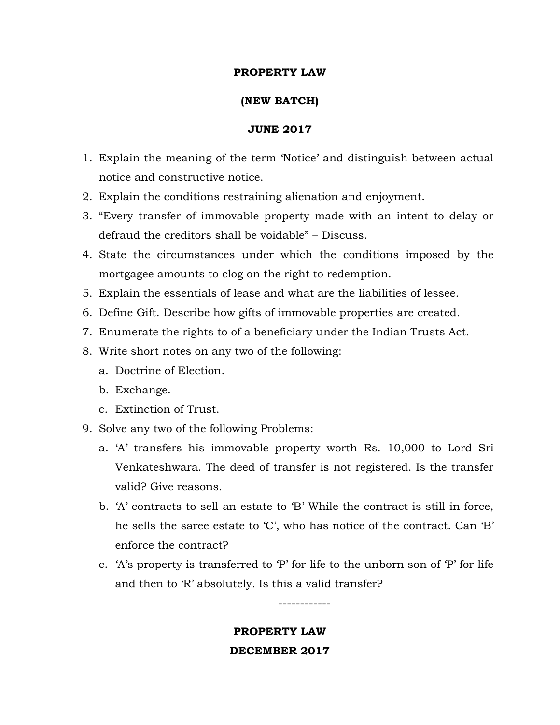# **PROPERTY LAW**

# **(NEW BATCH)**

#### **JUNE 2017**

- 1. Explain the meaning of the term 'Notice' and distinguish between actual notice and constructive notice.
- 2. Explain the conditions restraining alienation and enjoyment.
- 3. "Every transfer of immovable property made with an intent to delay or defraud the creditors shall be voidable" – Discuss.
- 4. State the circumstances under which the conditions imposed by the mortgagee amounts to clog on the right to redemption.
- 5. Explain the essentials of lease and what are the liabilities of lessee.
- 6. Define Gift. Describe how gifts of immovable properties are created.
- 7. Enumerate the rights to of a beneficiary under the Indian Trusts Act.
- 8. Write short notes on any two of the following:
	- a. Doctrine of Election.
	- b. Exchange.
	- c. Extinction of Trust.
- 9. Solve any two of the following Problems:
	- a. 'A' transfers his immovable property worth Rs. 10,000 to Lord Sri Venkateshwara. The deed of transfer is not registered. Is the transfer valid? Give reasons.
	- b. 'A' contracts to sell an estate to 'B' While the contract is still in force, he sells the saree estate to 'C', who has notice of the contract. Can 'B' enforce the contract?
	- c. 'A's property is transferred to 'P' for life to the unborn son of 'P' for life and then to 'R' absolutely. Is this a valid transfer?

------------

**PROPERTY LAW DECEMBER 2017**